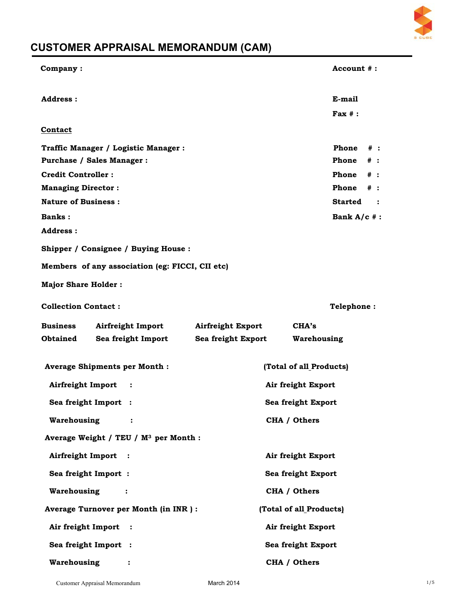

# **CUSTOMER APPRAISAL MEMORANDUM (CAM)**

| Company:                                          | Account #:                        |
|---------------------------------------------------|-----------------------------------|
| Address:                                          | E-mail                            |
|                                                   | $\textbf{Fax}$ # :                |
| Contact                                           |                                   |
| Traffic Manager / Logistic Manager :              | Phone<br>$#$ :                    |
| Purchase / Sales Manager :                        | Phone<br>$\#$ :                   |
| <b>Credit Controller:</b>                         | Phone<br>$#$ :                    |
| <b>Managing Director:</b>                         | Phone<br>$\#$ :                   |
| <b>Nature of Business:</b>                        | <b>Started</b><br>$\ddot{\cdot}$  |
| <b>Banks:</b>                                     | Bank $A/c$ #:                     |
| Address:                                          |                                   |
| Shipper / Consignee / Buying House:               |                                   |
| Members of any association (eg: FICCI, CII etc)   |                                   |
| <b>Major Share Holder:</b>                        |                                   |
| <b>Collection Contact:</b>                        | <b>Telephone:</b>                 |
|                                                   |                                   |
| <b>Business</b><br>Airfreight Import              | <b>Airfreight Export</b><br>CHA's |
| <b>Obtained</b><br>Sea freight Import             | Sea freight Export<br>Warehousing |
| <b>Average Shipments per Month:</b>               | (Total of all Products)           |
| Airfreight Import<br>:                            | Air freight Export                |
| Sea freight Import :                              | Sea freight Export                |
| Warehousing<br>:                                  | CHA / Others                      |
| Average Weight / TEU / M <sup>3</sup> per Month : |                                   |
| Airfreight Import :                               | Air freight Export                |
| Sea freight Import:                               | Sea freight Export                |
| Warehousing<br>:                                  | CHA / Others                      |
| Average Turnover per Month (in INR) :             | (Total of all Products)           |
| Air freight Import :                              | Air freight Export                |
| Sea freight Import :                              | Sea freight Export                |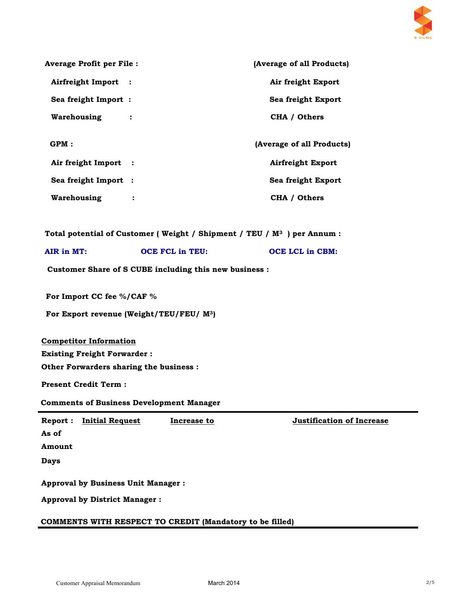

| <b>Average Profit per File:</b>           |                                                                            | (Average of all Products)        |
|-------------------------------------------|----------------------------------------------------------------------------|----------------------------------|
| Airfreight Import :                       |                                                                            | Air freight Export               |
| Sea freight Import:                       |                                                                            | Sea freight Export               |
| Warehousing :                             |                                                                            | CHA / Others                     |
|                                           |                                                                            |                                  |
| GPM:                                      |                                                                            | (Average of all Products)        |
| Air freight Import :                      |                                                                            | <b>Airfreight Export</b>         |
| Sea freight Import :                      |                                                                            | Sea freight Export               |
| Warehousing :                             |                                                                            | CHA / Others                     |
|                                           |                                                                            |                                  |
|                                           | Total potential of Customer (Weight / Shipment / TEU / $M^3$ ) per Annum : |                                  |
| AIR in MT:                                | <b>OCE FCL in TEU:</b>                                                     | <b>OCE LCL in CBM:</b>           |
|                                           | Customer Share of S CUBE including this new business :                     |                                  |
| For Import CC fee %/CAF %                 |                                                                            |                                  |
|                                           | For Export revenue (Weight/TEU/FEU/ M <sup>3</sup> )                       |                                  |
| <b>Competitor Information</b>             |                                                                            |                                  |
| <b>Existing Freight Forwarder:</b>        |                                                                            |                                  |
| Other Forwarders sharing the business :   |                                                                            |                                  |
| <b>Present Credit Term:</b>               |                                                                            |                                  |
|                                           | <b>Comments of Business Development Manager</b>                            |                                  |
| <b>Initial Request</b><br>Report:         | <b>Increase to</b>                                                         | <b>Justification of Increase</b> |
| As of                                     |                                                                            |                                  |
| Amount                                    |                                                                            |                                  |
| <b>Days</b>                               |                                                                            |                                  |
| <b>Approval by Business Unit Manager:</b> |                                                                            |                                  |
| <b>Approval by District Manager:</b>      |                                                                            |                                  |
|                                           |                                                                            |                                  |

# **COMMENTS WITH RESPECT TO CREDIT (Mandatory to be filled)**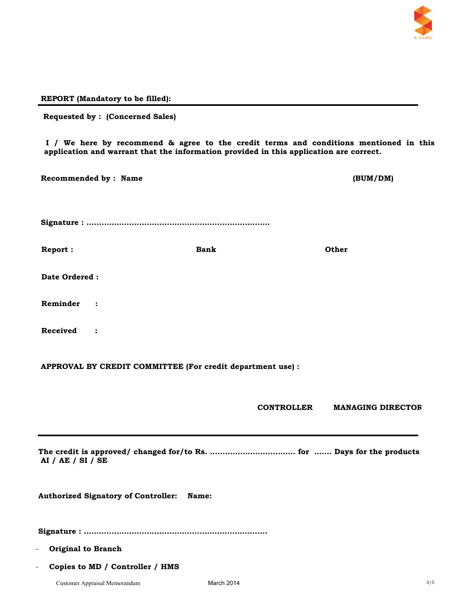

## **REPORT (Mandatory to be filled):**

| <b>Requested by: (Concerned Sales)</b>     |                                                                                                                                                                                 |                                               |
|--------------------------------------------|---------------------------------------------------------------------------------------------------------------------------------------------------------------------------------|-----------------------------------------------|
|                                            | I / We here by recommend & agree to the credit terms and conditions mentioned in this<br>application and warrant that the information provided in this application are correct. |                                               |
| Recommended by : Name                      |                                                                                                                                                                                 | (BUM/DM)                                      |
|                                            |                                                                                                                                                                                 |                                               |
| Report:                                    | <b>Bank</b>                                                                                                                                                                     | Other                                         |
| Date Ordered :                             |                                                                                                                                                                                 |                                               |
| Reminder<br>$\cdot$                        |                                                                                                                                                                                 |                                               |
| Received<br>$\ddot{\cdot}$                 |                                                                                                                                                                                 |                                               |
|                                            | APPROVAL BY CREDIT COMMITTEE (For credit department use) :                                                                                                                      |                                               |
|                                            |                                                                                                                                                                                 | <b>CONTROLLER</b><br><b>MANAGING DIRECTOR</b> |
| AI / AE / SI / SE                          |                                                                                                                                                                                 |                                               |
| <b>Authorized Signatory of Controller:</b> | Name:                                                                                                                                                                           |                                               |
|                                            |                                                                                                                                                                                 |                                               |
| <b>Original to Branch</b>                  |                                                                                                                                                                                 |                                               |
| Copies to MD / Controller / HMS            |                                                                                                                                                                                 |                                               |
| Customer Appraisal Memorandum              | March 2014                                                                                                                                                                      | 3/5                                           |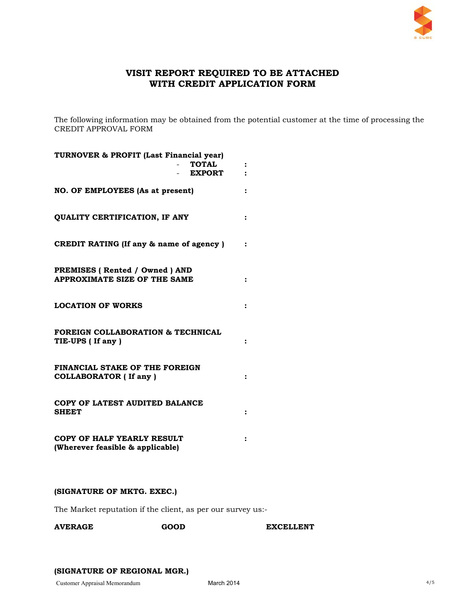

# **VISIT REPORT REQUIRED TO BE ATTACHED WITH CREDIT APPLICATION FORM**

The following information may be obtained from the potential customer at the time of processing the CREDIT APPROVAL FORM

| TURNOVER & PROFIT (Last Financial year)<br><b>TOTAL</b><br><b>EXPORT</b> | ፡              |
|--------------------------------------------------------------------------|----------------|
| <b>NO. OF EMPLOYEES (As at present)</b>                                  |                |
| <b>QUALITY CERTIFICATION, IF ANY</b>                                     | $\ddot{\cdot}$ |
| CREDIT RATING (If any & name of agency)                                  |                |
| PREMISES (Rented / Owned ) AND<br>APPROXIMATE SIZE OF THE SAME           |                |
| <b>LOCATION OF WORKS</b>                                                 |                |
| <b>FOREIGN COLLABORATION &amp; TECHNICAL</b><br>TIE-UPS (If any)         |                |
| FINANCIAL STAKE OF THE FOREIGN<br><b>COLLABORATOR (If any )</b>          |                |
| COPY OF LATEST AUDITED BALANCE<br><b>SHEET</b>                           |                |
| COPY OF HALF YEARLY RESULT<br>(Wherever feasible & applicable)           |                |

## **(SIGNATURE OF MKTG. EXEC.)**

The Market reputation if the client, as per our survey us:-

AVERAGE GOOD EXCELLENT

## **(SIGNATURE OF REGIONAL MGR.)**